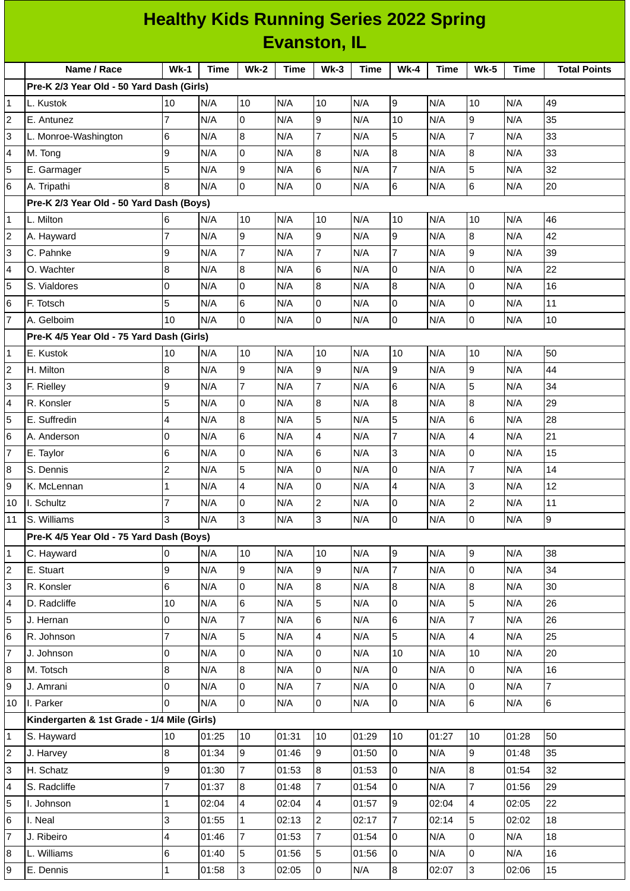| <b>Healthy Kids Running Series 2022 Spring</b> |                                             |                 |             |                |             |                         |             |                |       |                     |             |                     |
|------------------------------------------------|---------------------------------------------|-----------------|-------------|----------------|-------------|-------------------------|-------------|----------------|-------|---------------------|-------------|---------------------|
|                                                | <b>Evanston, IL</b>                         |                 |             |                |             |                         |             |                |       |                     |             |                     |
|                                                | Name / Race                                 | $Wk-1$          | <b>Time</b> | $Wk-2$         | <b>Time</b> | $Wk-3$                  | <b>Time</b> | $Wk-4$         | Time  | <b>Wk-5</b>         | <b>Time</b> | <b>Total Points</b> |
|                                                | Pre-K 2/3 Year Old - 50 Yard Dash (Girls)   |                 |             |                |             |                         |             |                |       |                     |             |                     |
| 1                                              | L. Kustok                                   | 10              | N/A         | 10             | N/A         | 10                      | N/A         | 9              | N/A   | 10                  | N/A         | 49                  |
| 2                                              | E. Antunez                                  | $\overline{7}$  | N/A         | Iо             | N/A         | 9                       | N/A         | 10             | N/A   | 9                   | N/A         | 35                  |
| 3                                              | L. Monroe-Washington                        | $6\phantom{.}6$ | N/A         | 8              | N/A         | $\overline{7}$          | N/A         | 5              | N/A   | $\overline{7}$      | N/A         | 33                  |
| 4                                              | M. Tong                                     | 9               | N/A         | lo             | N/A         | $\bf{8}$                | N/A         | 8              | N/A   | 8                   | N/A         | 33                  |
| 5                                              | E. Garmager                                 | 5               | N/A         | l9             | N/A         | $6\phantom{.}$          | N/A         | $\overline{7}$ | N/A   | 5                   | N/A         | 32                  |
| 6                                              | A. Tripathi                                 | 8               | N/A         | Iо             | N/A         | 0                       | N/A         | 6              | N/A   | 6                   | N/A         | 20                  |
|                                                | Pre-K 2/3 Year Old - 50 Yard Dash (Boys)    |                 |             |                |             |                         |             |                |       |                     |             |                     |
| 1                                              | L. Milton                                   | 6               | N/A         | 10             | N/A         | 10                      | N/A         | 10             | N/A   | 10                  | N/A         | 46                  |
| 2                                              | A. Hayward                                  | $\overline{7}$  | N/A         | 9              | N/A         | 9                       | N/A         | 9              | N/A   | 8                   | N/A         | 42                  |
| 3                                              | C. Pahnke                                   | 9               | N/A         | $\overline{7}$ | N/A         | $\overline{7}$          | N/A         | $\overline{7}$ | N/A   | 9                   | N/A         | 39                  |
| 4                                              | O. Wachter                                  | 8               | N/A         | 8              | N/A         | 6                       | N/A         | 0              | N/A   | $\mathsf 0$         | N/A         | 22                  |
| 5                                              | S. Vialdores                                | $\overline{0}$  | N/A         | l0             | N/A         | $\bf{8}$                | N/A         | 8              | N/A   | $\mathbf 0$         | N/A         | 16                  |
| 6                                              | F. Totsch                                   | 5               | N/A         | 6              | N/A         | 0                       | N/A         | 0              | N/A   | 0                   | N/A         | 11                  |
| $\overline{7}$                                 | A. Gelboim                                  | 10              | N/A         | l0             | N/A         | 0                       | N/A         | 0              | N/A   | 0                   | N/A         | 10                  |
|                                                | Pre-K 4/5 Year Old - 75 Yard Dash (Girls)   |                 |             |                |             |                         |             |                |       |                     |             |                     |
| 1                                              | E. Kustok                                   | 10              | N/A         | 10             | N/A         | 10                      | N/A         | 10             | N/A   | 10                  | N/A         | 50                  |
| 2                                              | H. Milton                                   | 8               | N/A         | g              | N/A         | 9                       | N/A         | 9              | N/A   | 9                   | N/A         | 44                  |
| 3                                              | F. Rielley                                  | 9               | N/A         | $\overline{7}$ | N/A         | $\overline{7}$          | N/A         | 6              | N/A   | 5                   | N/A         | 34                  |
| 4                                              | R. Konsler                                  | 5               | N/A         | 0              | N/A         | $\, 8$                  | N/A         | 8              | N/A   | 8                   | N/A         | 29                  |
| 5                                              | E. Suffredin                                | 4               | N/A         | 8              | N/A         | 5                       | N/A         | 5              | N/A   | 6                   | N/A         | 28                  |
| 6                                              | A. Anderson                                 | $\overline{0}$  | N/A         | 6              | N/A         | $\overline{\mathbf{4}}$ | N/A         | $\overline{7}$ | N/A   | 4                   | N/A         | 21                  |
| 7                                              | E. Taylor                                   | 6               | N/A         | l0             | N/A         | 6                       | N/A         | 3              | N/A   | 0                   | N/A         | 15                  |
| 8                                              | S. Dennis                                   | $\overline{c}$  | N/A         | 5              | N/A         | 0                       | N/A         | 0              | N/A   | $\overline{7}$      | N/A         | 14                  |
| 9                                              | K. McLennan                                 | $\mathbf{1}$    | N/A         | 4              | N/A         | lo                      | N/A         | 4              | N/A   | 3                   | N/A         | 12                  |
| 10                                             | I. Schultz                                  | $\overline{7}$  | N/A         | l0             | N/A         | $\overline{c}$          | N/A         | 0              | N/A   | $\overline{c}$      | N/A         | 11                  |
| 11                                             | S. Williams                                 | 3               | N/A         | 3              | N/A         | 3                       | N/A         | 0              | N/A   | $\mathsf{O}\xspace$ | N/A         | $\overline{9}$      |
|                                                | Pre-K 4/5 Year Old - 75 Yard Dash (Boys)    |                 |             |                |             |                         |             |                |       |                     |             |                     |
| 1                                              | C. Hayward                                  | 0               | N/A         | 10             | N/A         | 10                      | N/A         | 9              | N/A   | 9                   | N/A         | 38                  |
| 2                                              | E. Stuart                                   | 9               | N/A         | 9              | N/A         | 9                       | N/A         | $\overline{7}$ | N/A   | $\mathbf 0$         | N/A         | 34                  |
| 3                                              | R. Konsler                                  | 6               | N/A         | l0             | N/A         | 8                       | N/A         | 8              | N/A   | 8                   | N/A         | 30                  |
| 4                                              | D. Radcliffe                                | 10              | N/A         | 6              | N/A         | 5                       | N/A         | 0              | N/A   | 5                   | N/A         | 26                  |
| 5                                              | J. Hernan                                   | 0               | N/A         | $\overline{7}$ | N/A         | 6                       | N/A         | 6              | N/A   | $\overline{7}$      | N/A         | 26                  |
| 6                                              | R. Johnson                                  | $\overline{7}$  | N/A         | 5              | N/A         | 4                       | N/A         | 5              | N/A   | 4                   | N/A         | 25                  |
| 7                                              | J. Johnson                                  | 0               | N/A         | Iо             | N/A         | 0                       | N/A         | 10             | N/A   | 10                  | N/A         | 20                  |
| 8                                              | M. Totsch                                   | $\, 8$          | N/A         | 8              | N/A         | 0                       | N/A         | 0              | N/A   | 0                   | N/A         | 16                  |
| 9                                              | J. Amrani                                   | 0               | N/A         | l0             | N/A         | 7                       | N/A         | 0              | N/A   | $\mathsf{O}\xspace$ | N/A         | $\overline{7}$      |
| 10                                             | I. Parker                                   | $\overline{0}$  | N/A         | Iо             | N/A         | 0                       | N/A         | 0              | N/A   | 6                   | N/A         | $6\phantom{a}$      |
|                                                | Kindergarten & 1st Grade - 1/4 Mile (Girls) |                 |             |                |             |                         |             |                |       |                     |             |                     |
| 1                                              | S. Hayward                                  | 10              | 01:25       | 10             | 01:31       | 10                      | 01:29       | 10             | 01:27 | 10                  | 01:28       | 50                  |
| 2                                              | J. Harvey                                   | 8               | 01:34       | 9              | 01:46       | 9                       | 01:50       | 0              | N/A   | 9                   | 01:48       | 35                  |
| 3                                              | H. Schatz                                   | 9               | 01:30       | $\overline{7}$ | 01:53       | 8                       | 01:53       | 0              | N/A   | 8                   | 01:54       | 32                  |
| 4                                              | S. Radcliffe                                | $\overline{7}$  | 01:37       | 8              | 01:48       | $\overline{7}$          | 01:54       | 0              | N/A   | $\overline{7}$      | 01:56       | 29                  |
| 5                                              | I. Johnson                                  | $\mathbf 1$     | 02:04       | $\overline{4}$ | 02:04       | 4                       | 01:57       | 9              | 02:04 | 4                   | 02:05       | 22                  |
| 6                                              | I. Neal                                     | 3               | 01:55       | $\mathbf{1}$   | 02:13       | 2                       | 02:17       | $\overline{7}$ | 02:14 | 5                   | 02:02       | 18                  |
| 7                                              | J. Ribeiro                                  | 4               | 01:46       | 7              | 01:53       | 7                       | 01:54       | 0              | N/A   | 0                   | N/A         | 18                  |
| 8                                              | L. Williams                                 | $\,6$           | 01:40       | 5              | 01:56       | 5                       | 01:56       | 0              | N/A   | $\mathsf 0$         | N/A         | 16                  |
| 9                                              | E. Dennis                                   | $\mathbf 1$     | 01:58       | 3              | 02:05       | 0                       | N/A         | 8              | 02:07 | 3                   | 02:06       | 15                  |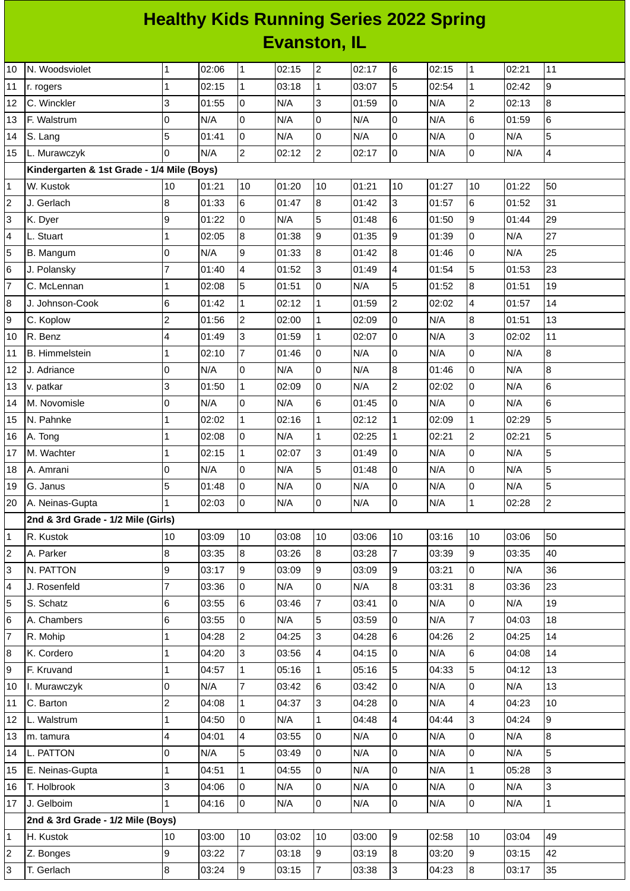## **Healthy Kids Running Series 2022 Spring Evanston, IL**

| 10                        | N. Woodsviolet                             | $\mathbf 1$    | 02:06 | $\mathbf 1$             | 02:15 | $\overline{c}$ | 02:17 | 6                       | 02:15 | $\mathbf 1$    | 02:21 | 11             |
|---------------------------|--------------------------------------------|----------------|-------|-------------------------|-------|----------------|-------|-------------------------|-------|----------------|-------|----------------|
| 11                        | r. rogers                                  | $\mathbf{1}$   | 02:15 | $\mathbf{1}$            | 03:18 | $\mathbf 1$    | 03:07 | 5                       | 02:54 | $\mathbf 1$    | 02:42 | 9              |
| 12                        | C. Winckler                                | 3              | 01:55 | O                       | N/A   | 3              | 01:59 | $\overline{0}$          | N/A   | $\overline{c}$ | 02:13 | 8              |
| 13                        | F. Walstrum                                | 0              | N/A   | 0                       | N/A   | 0              | N/A   | $\overline{0}$          | N/A   | 6              | 01:59 | 6              |
| 14                        | S. Lang                                    | 5              | 01:41 | lo.                     | N/A   | $\overline{0}$ | N/A   | l0                      | N/A   | 0              | N/A   | 5              |
| 15                        | L. Murawczyk                               | 0              | N/A   | $\overline{c}$          | 02:12 | $\overline{c}$ | 02:17 | 0                       | N/A   | 0              | N/A   | $\pmb{4}$      |
|                           | Kindergarten & 1st Grade - 1/4 Mile (Boys) |                |       |                         |       |                |       |                         |       |                |       |                |
| $\mathbf{1}$              | W. Kustok                                  | 10             | 01:21 | 10                      | 01:20 | 10             | 01:21 | 10                      | 01:27 | 10             | 01:22 | 50             |
| $\overline{c}$            | J. Gerlach                                 | $\bf{8}$       | 01:33 | $6\phantom{a}$          | 01:47 | 8              | 01:42 | $\overline{3}$          | 01:57 | 6              | 01:52 | 31             |
| 3                         | K. Dyer                                    | 9              | 01:22 | $\overline{0}$          | N/A   | 5              | 01:48 | $\,6$                   | 01:50 | 9              | 01:44 | 29             |
| 4                         | L. Stuart                                  | $\mathbf 1$    | 02:05 | $\bf{8}$                | 01:38 | 9              | 01:35 | 9                       | 01:39 | 0              | N/A   | 27             |
| 5                         | B. Mangum                                  | 0              | N/A   | 9                       | 01:33 | 8              | 01:42 | $\overline{8}$          | 01:46 | 0              | N/A   | 25             |
| 6                         | J. Polansky                                | $\overline{7}$ | 01:40 | $\overline{\mathbf{4}}$ | 01:52 | 3              | 01:49 | $\overline{4}$          | 01:54 | 5              | 01:53 | 23             |
| $\overline{\mathfrak{c}}$ | C. McLennan                                | 1              | 02:08 | 5                       | 01:51 | 0              | N/A   | 5                       | 01:52 | 8              | 01:51 | 19             |
| 8                         | J. Johnson-Cook                            | 6              | 01:42 | $\mathbf{1}$            | 02:12 | $\mathbf 1$    | 01:59 | $\overline{c}$          | 02:02 | 4              | 01:57 | 14             |
| 9                         | C. Koplow                                  | 2              | 01:56 | $\overline{c}$          | 02:00 | $\mathbf 1$    | 02:09 | 0                       | N/A   | 8              | 01:51 | 13             |
| 10                        | R. Benz                                    | 4              | 01:49 | 3                       | 01:59 | $\mathbf{1}$   | 02:07 | 0                       | N/A   | 3              | 02:02 | 11             |
| 11                        | <b>B.</b> Himmelstein                      | 1              | 02:10 | $\overline{7}$          | 01:46 | $\mathsf 0$    | N/A   | O                       | N/A   | 0              | N/A   | 8              |
| 12                        | J. Adriance                                | $\mathsf 0$    | N/A   | $\overline{0}$          | N/A   | 0              | N/A   | $\overline{8}$          | 01:46 | 0              | N/A   | 8              |
| 13                        | v. patkar                                  | 3              | 01:50 | $\mathbf{1}$            | 02:09 | 0              | N/A   | $\overline{c}$          | 02:02 | 0              | N/A   | $6\phantom{a}$ |
| 14                        | M. Novomisle                               | 0              | N/A   | $\overline{0}$          | N/A   | 6              | 01:45 | lo                      | N/A   | 0              | N/A   | $\,6$          |
| 15                        | N. Pahnke                                  | 1              | 02:02 | $\mathbf 1$             | 02:16 | $\mathbf 1$    | 02:12 | $\mathbf{1}$            | 02:09 | $\mathbf 1$    | 02:29 | 5              |
| 16                        | A. Tong                                    | $\mathbf 1$    | 02:08 | $\overline{0}$          | N/A   | $\mathbf 1$    | 02:25 | $\mathbf{1}$            | 02:21 | $\overline{2}$ | 02:21 | 5              |
| 17                        | M. Wachter                                 | 1              | 02:15 | $\mathbf 1$             | 02:07 | 3              | 01:49 | 0                       | N/A   | 0              | N/A   | 5              |
| 18                        | A. Amrani                                  | 0              | N/A   | 0                       | N/A   | 5              | 01:48 | 0                       | N/A   | 0              | N/A   | 5              |
| 19                        | G. Janus                                   | 5              | 01:48 | $\overline{0}$          | N/A   | 0              | N/A   | $\overline{0}$          | N/A   | 0              | N/A   | 5              |
| 20                        | A. Neinas-Gupta                            | $\mathbf{1}$   | 02:03 | $\overline{0}$          | N/A   | 0              | N/A   | $\mathsf 0$             | N/A   | $\mathbf{1}$   | 02:28 | $\overline{2}$ |
|                           | 2nd & 3rd Grade - 1/2 Mile (Girls)         |                |       |                         |       |                |       |                         |       |                |       |                |
| $\mathbf{1}$              | R. Kustok                                  | 10             | 03:09 | 10                      | 03:08 | 10             | 03:06 | 10                      | 03:16 | 10             | 03:06 | 50             |
| $\overline{c}$            | A. Parker                                  | $\bf 8$        | 03:35 | 8                       | 03:26 | 8              | 03:28 | 7                       | 03:39 | 9              | 03:35 | 40             |
| 3                         | N. PATTON                                  | 9              | 03:17 | 9                       | 03:09 | 9              | 03:09 | 9                       | 03:21 | 0              | N/A   | 36             |
| 4                         | J. Rosenfeld                               | 7              | 03:36 | $\overline{0}$          | N/A   | 0              | N/A   | $\overline{8}$          | 03:31 | 8              | 03:36 | 23             |
| 5                         | S. Schatz                                  | 6              | 03:55 | 6                       | 03:46 | $\overline{7}$ | 03:41 | $\overline{0}$          | N/A   | 0              | N/A   | 19             |
| 6                         | A. Chambers                                | 6              | 03:55 | l0                      | N/A   | 5              | 03:59 | 0                       | N/A   | $\overline{7}$ | 04:03 | 18             |
| $\overline{7}$            | R. Mohip                                   | 1              | 04:28 | $\overline{2}$          | 04:25 | 3              | 04:28 | 6                       | 04:26 | $\overline{c}$ | 04:25 | 14             |
| 8                         | K. Cordero                                 | 1              | 04:20 | 3                       | 03:56 | 4              | 04:15 | $\overline{0}$          | N/A   | 6              | 04:08 | 14             |
| 9                         | F. Kruvand                                 | 1              | 04:57 | $\mathbf{1}$            | 05:16 | $\mathbf{1}$   | 05:16 | 5                       | 04:33 | 5              | 04:12 | 13             |
| 10                        | I. Murawczyk                               | 0              | N/A   | $\overline{7}$          | 03:42 | 6              | 03:42 | 0                       | N/A   | 0              | N/A   | 13             |
| 11                        | C. Barton                                  | $\overline{c}$ | 04:08 | $\overline{1}$          | 04:37 | 3              | 04:28 | lo                      | N/A   | 4              | 04:23 | 10             |
| 12                        | L. Walstrum                                | 1              | 04:50 | 0                       | N/A   | $\mathbf 1$    | 04:48 | $\overline{\mathbf{4}}$ | 04:44 | 3              | 04:24 | 9              |
| 13                        | m. tamura                                  | 4              | 04:01 | 4                       | 03:55 | 0              | N/A   | 0                       | N/A   | 0              | N/A   | 8              |
| 14                        | L. PATTON                                  | 0              | N/A   | 5                       | 03:49 | $\mathsf 0$    | N/A   | lo                      | N/A   | 0              | N/A   | 5              |
| 15                        | E. Neinas-Gupta                            | 1              | 04:51 | $\mathbf 1$             | 04:55 | 0              | N/A   | $\overline{0}$          | N/A   | $\mathbf 1$    | 05:28 | 3              |
| 16                        | T. Holbrook                                | 3              | 04:06 | 0                       | N/A   | 0              | N/A   | $\mathsf 0$             | N/A   | 0              | N/A   | 3              |
| 17                        | J. Gelboim                                 | $\mathbf{1}$   | 04:16 | 0                       | N/A   | 0              | N/A   | lo                      | N/A   | 0              | N/A   | $\mathbf 1$    |
|                           | 2nd & 3rd Grade - 1/2 Mile (Boys)          |                |       |                         |       |                |       |                         |       |                |       |                |
| 1                         | H. Kustok                                  | 10             | 03:00 | 10                      | 03:02 | 10             | 03:00 | 9                       | 02:58 | 10             | 03:04 | 49             |
| 2                         | Z. Bonges                                  | 9              | 03:22 | $\overline{7}$          | 03:18 | 9              | 03:19 | 8                       | 03:20 | 9              | 03:15 | 42             |
| 3                         | T. Gerlach                                 | 8              | 03:24 | 9                       | 03:15 | 7              | 03:38 | $\overline{3}$          | 04:23 | 8              | 03:17 | 35             |